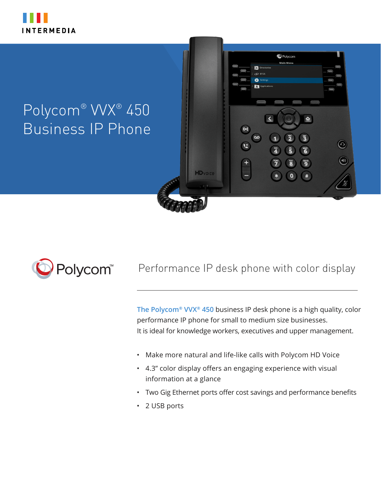

# Polycom® VVX® 450 Business IP Phone



# Performance IP desk phone with color display

**HD**voice

**C** Polycom

 $\mathbf{\tilde g}$ 

 $\bullet$  $#$ 

**vxxz** 

 $\odot$ 

 $\bigcirc$ 

**The Polycom® VVX® 450** business IP desk phone is a high quality, color performance IP phone for small to medium size businesses. It is ideal for knowledge workers, executives and upper management.

- Make more natural and life-like calls with Polycom HD Voice
- 4.3" color display offers an engaging experience with visual information at a glance
- Two Gig Ethernet ports offer cost savings and performance benefits
- 2 USB ports